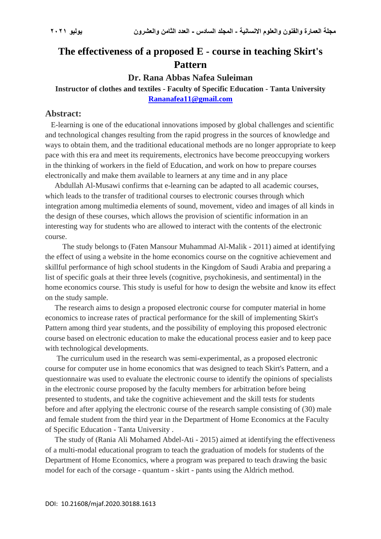# **The effectiveness of a proposed E - course in teaching Skirt's Pattern**

#### **Dr. Rana Abbas Nafea Suleiman**

# **Instructor of clothes and textiles - Faculty of Specific Education - Tanta University [Rananafea11@gmail.com](mailto:Rananafea11@gmail.com)**

#### **Abstract:**

 E-learning is one of the educational innovations imposed by global challenges and scientific and technological changes resulting from the rapid progress in the sources of knowledge and ways to obtain them, and the traditional educational methods are no longer appropriate to keep pace with this era and meet its requirements, electronics have become preoccupying workers in the thinking of workers in the field of Education, and work on how to prepare courses electronically and make them available to learners at any time and in any place

 Abdullah Al-Musawi confirms that e-learning can be adapted to all academic courses, which leads to the transfer of traditional courses to electronic courses through which integration among multimedia elements of sound, movement, video and images of all kinds in the design of these courses, which allows the provision of scientific information in an interesting way for students who are allowed to interact with the contents of the electronic course.

 The study belongs to (Faten Mansour Muhammad Al-Malik - 2011) aimed at identifying the effect of using a website in the home economics course on the cognitive achievement and skillful performance of high school students in the Kingdom of Saudi Arabia and preparing a list of specific goals at their three levels (cognitive, psychokinesis, and sentimental) in the home economics course. This study is useful for how to design the website and know its effect on the study sample.

 The research aims to design a proposed electronic course for computer material in home economics to increase rates of practical performance for the skill of implementing Skirt's Pattern among third year students, and the possibility of employing this proposed electronic course based on electronic education to make the educational process easier and to keep pace with technological developments.

 The curriculum used in the research was semi-experimental, as a proposed electronic course for computer use in home economics that was designed to teach Skirt's Pattern, and a questionnaire was used to evaluate the electronic course to identify the opinions of specialists in the electronic course proposed by the faculty members for arbitration before being presented to students, and take the cognitive achievement and the skill tests for students before and after applying the electronic course of the research sample consisting of (30) male and female student from the third year in the Department of Home Economics at the Faculty of Specific Education - Tanta University .

 The study of (Rania Ali Mohamed Abdel-Ati - 2015) aimed at identifying the effectiveness of a multi-modal educational program to teach the graduation of models for students of the Department of Home Economics, where a program was prepared to teach drawing the basic model for each of the corsage - quantum - skirt - pants using the Aldrich method.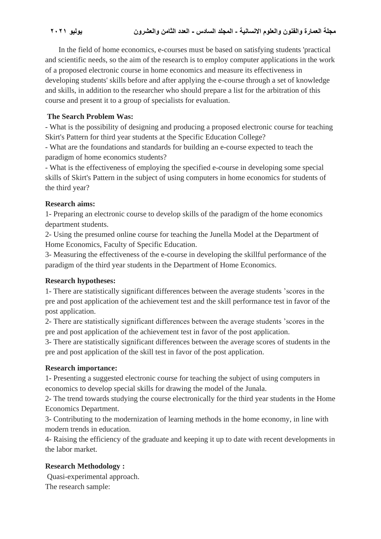In the field of home economics, e-courses must be based on satisfying students 'practical and scientific needs, so the aim of the research is to employ computer applications in the work of a proposed electronic course in home economics and measure its effectiveness in developing students' skills before and after applying the e-course through a set of knowledge and skills, in addition to the researcher who should prepare a list for the arbitration of this course and present it to a group of specialists for evaluation.

### **The Search Problem Was:**

- What is the possibility of designing and producing a proposed electronic course for teaching Skirt's Pattern for third year students at the Specific Education College?

- What are the foundations and standards for building an e-course expected to teach the paradigm of home economics students?

- What is the effectiveness of employing the specified e-course in developing some special skills of Skirt's Pattern in the subject of using computers in home economics for students of the third year?

#### **Research aims:**

1- Preparing an electronic course to develop skills of the paradigm of the home economics department students.

2- Using the presumed online course for teaching the Junella Model at the Department of Home Economics, Faculty of Specific Education.

3- Measuring the effectiveness of the e-course in developing the skillful performance of the paradigm of the third year students in the Department of Home Economics.

#### **Research hypotheses:**

1- There are statistically significant differences between the average students 'scores in the pre and post application of the achievement test and the skill performance test in favor of the post application.

2- There are statistically significant differences between the average students 'scores in the pre and post application of the achievement test in favor of the post application.

3- There are statistically significant differences between the average scores of students in the pre and post application of the skill test in favor of the post application.

# **Research importance:**

1- Presenting a suggested electronic course for teaching the subject of using computers in economics to develop special skills for drawing the model of the Junala.

2- The trend towards studying the course electronically for the third year students in the Home Economics Department.

3- Contributing to the modernization of learning methods in the home economy, in line with modern trends in education.

4- Raising the efficiency of the graduate and keeping it up to date with recent developments in the labor market.

# **Research Methodology :**

Quasi-experimental approach. The research sample: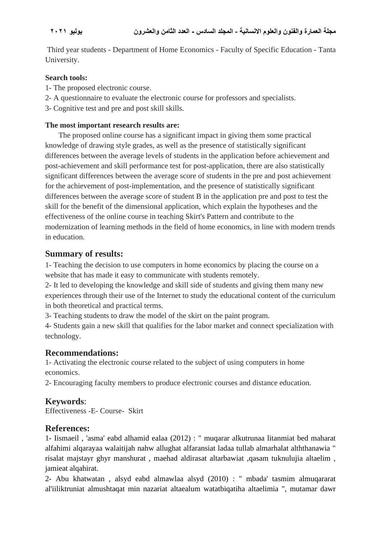Third year students - Department of Home Economics - Faculty of Specific Education - Tanta University.

#### **Search tools:**

- 1- The proposed electronic course.
- 2- A questionnaire to evaluate the electronic course for professors and specialists.
- 3- Cognitive test and pre and post skill skills.

#### **The most important research results are:**

 The proposed online course has a significant impact in giving them some practical knowledge of drawing style grades, as well as the presence of statistically significant differences between the average levels of students in the application before achievement and post-achievement and skill performance test for post-application, there are also statistically significant differences between the average score of students in the pre and post achievement for the achievement of post-implementation, and the presence of statistically significant differences between the average score of student B in the application pre and post to test the skill for the benefit of the dimensional application, which explain the hypotheses and the effectiveness of the online course in teaching Skirt's Pattern and contribute to the modernization of learning methods in the field of home economics, in line with modern trends in education.

# **Summary of results:**

1- Teaching the decision to use computers in home economics by placing the course on a website that has made it easy to communicate with students remotely.

2- It led to developing the knowledge and skill side of students and giving them many new experiences through their use of the Internet to study the educational content of the curriculum in both theoretical and practical terms.

3- Teaching students to draw the model of the skirt on the paint program.

4- Students gain a new skill that qualifies for the labor market and connect specialization with technology.

# **Recommendations:**

1- Activating the electronic course related to the subject of using computers in home economics.

2- Encouraging faculty members to produce electronic courses and distance education.

# **Keywords**:

Effectiveness -E- Course- Skirt

# **References:**

1- Iismaeil , 'asma' eabd alhamid ealaa (2012) : " muqarar alkutrunaa litanmiat bed maharat alfahimi alqarayaa walaitijah nahw allughat alfaransiat ladaa tullab almarhalat alththanawia " risalat majstayr ghyr manshurat , maehad aldirasat altarbawiat ,qasam tuknulujia altaelim , jamieat alqahirat.

2- Abu khatwatan , alsyd eabd almawlaa alsyd (2010) : " mbada' tasmim almuqararat al'iiliktruniat almushtaqat min nazariat altaealum watatbiqatiha altaelimia ", mutamar dawr